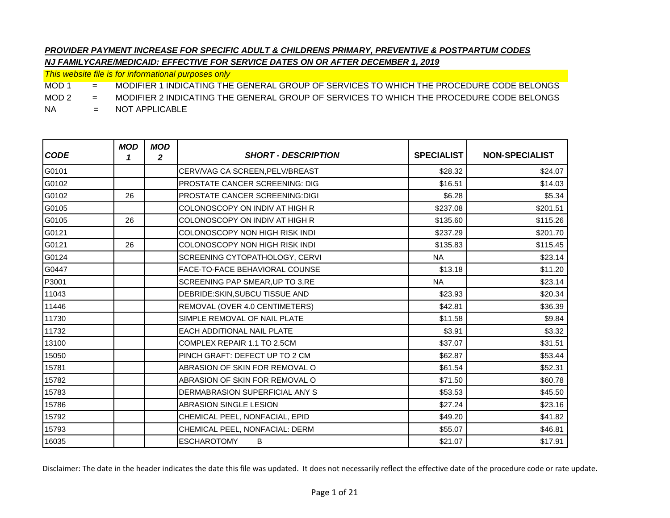*This website file is for informational purposes only*

MOD 1 = MODIFIER 1 INDICATING THE GENERAL GROUP OF SERVICES TO WHICH THE PROCEDURE CODE BELONGS

MOD 2 = MODIFIER 2 INDICATING THE GENERAL GROUP OF SERVICES TO WHICH THE PROCEDURE CODE BELONGS

NA = NOT APPLICABLE

| <b>CODE</b> | <b>MOD</b><br>1 | <b>MOD</b><br>2 | <b>SHORT - DESCRIPTION</b>            | <b>SPECIALIST</b> | <b>NON-SPECIALIST</b> |
|-------------|-----------------|-----------------|---------------------------------------|-------------------|-----------------------|
| G0101       |                 |                 | CERV/VAG CA SCREEN, PELV/BREAST       | \$28.32           | \$24.07               |
| G0102       |                 |                 | <b>PROSTATE CANCER SCREENING: DIG</b> | \$16.51           | \$14.03               |
| G0102       | 26              |                 | <b>PROSTATE CANCER SCREENING:DIGI</b> | \$6.28            | \$5.34                |
| G0105       |                 |                 | COLONOSCOPY ON INDIV AT HIGH R        | \$237.08          | \$201.51              |
| G0105       | 26              |                 | COLONOSCOPY ON INDIV AT HIGH R        | \$135.60          | \$115.26              |
| G0121       |                 |                 | <b>COLONOSCOPY NON HIGH RISK INDI</b> | \$237.29          | \$201.70              |
| G0121       | 26              |                 | COLONOSCOPY NON HIGH RISK INDI        | \$135.83          | \$115.45              |
| G0124       |                 |                 | SCREENING CYTOPATHOLOGY, CERVI        | <b>NA</b>         | \$23.14               |
| G0447       |                 |                 | FACE-TO-FACE BEHAVIORAL COUNSE        | \$13.18           | \$11.20               |
| P3001       |                 |                 | SCREENING PAP SMEAR, UP TO 3, RE      | <b>NA</b>         | \$23.14               |
| 11043       |                 |                 | DEBRIDE:SKIN, SUBCU TISSUE AND        | \$23.93           | \$20.34               |
| 11446       |                 |                 | REMOVAL (OVER 4.0 CENTIMETERS)        | \$42.81           | \$36.39               |
| 11730       |                 |                 | SIMPLE REMOVAL OF NAIL PLATE          | \$11.58           | \$9.84                |
| 11732       |                 |                 | <b>EACH ADDITIONAL NAIL PLATE</b>     | \$3.91            | \$3.32                |
| 13100       |                 |                 | COMPLEX REPAIR 1.1 TO 2.5CM           | \$37.07           | \$31.51               |
| 15050       |                 |                 | PINCH GRAFT: DEFECT UP TO 2 CM        | \$62.87           | \$53.44               |
| 15781       |                 |                 | ABRASION OF SKIN FOR REMOVAL O        | \$61.54           | \$52.31               |
| 15782       |                 |                 | ABRASION OF SKIN FOR REMOVAL O        | \$71.50           | \$60.78               |
| 15783       |                 |                 | DERMABRASION SUPERFICIAL ANY S        | \$53.53           | \$45.50               |
| 15786       |                 |                 | <b>ABRASION SINGLE LESION</b>         | \$27.24           | \$23.16               |
| 15792       |                 |                 | CHEMICAL PEEL, NONFACIAL, EPID        | \$49.20           | \$41.82               |
| 15793       |                 |                 | CHEMICAL PEEL, NONFACIAL: DERM        | \$55.07           | \$46.81               |
| 16035       |                 |                 | <b>ESCHAROTOMY</b><br>B               | \$21.07           | \$17.91               |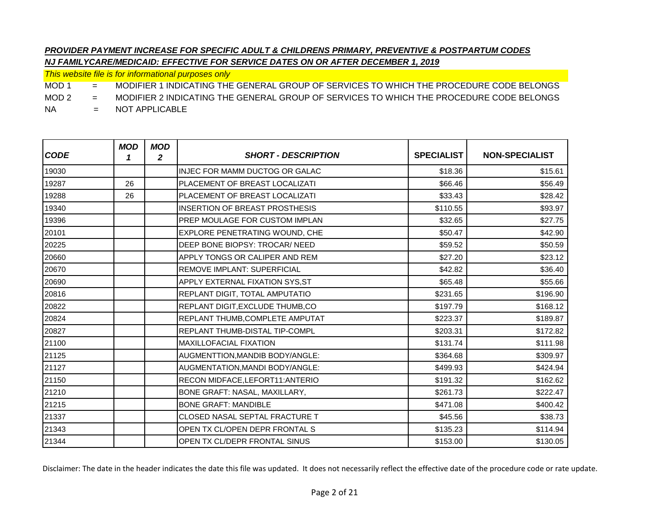*This website file is for informational purposes only*

MOD 1 = MODIFIER 1 INDICATING THE GENERAL GROUP OF SERVICES TO WHICH THE PROCEDURE CODE BELONGS

MOD 2 = MODIFIER 2 INDICATING THE GENERAL GROUP OF SERVICES TO WHICH THE PROCEDURE CODE BELONGS

NA = NOT APPLICABLE

| <b>CODE</b> | <b>MOD</b><br>1 | <b>MOD</b><br>2 | <b>SHORT - DESCRIPTION</b>            | <b>SPECIALIST</b> | <b>NON-SPECIALIST</b> |
|-------------|-----------------|-----------------|---------------------------------------|-------------------|-----------------------|
| 19030       |                 |                 | INJEC FOR MAMM DUCTOG OR GALAC        | \$18.36           | \$15.61               |
| 19287       | 26              |                 | PLACEMENT OF BREAST LOCALIZATI        | \$66.46           | \$56.49               |
| 19288       | 26              |                 | PLACEMENT OF BREAST LOCALIZATI        | \$33.43           | \$28.42               |
| 19340       |                 |                 | <b>INSERTION OF BREAST PROSTHESIS</b> | \$110.55          | \$93.97               |
| 19396       |                 |                 | PREP MOULAGE FOR CUSTOM IMPLAN        | \$32.65           | \$27.75               |
| 20101       |                 |                 | EXPLORE PENETRATING WOUND, CHE        | \$50.47           | \$42.90               |
| 20225       |                 |                 | DEEP BONE BIOPSY: TROCAR/ NEED        | \$59.52           | \$50.59               |
| 20660       |                 |                 | APPLY TONGS OR CALIPER AND REM        | \$27.20           | \$23.12               |
| 20670       |                 |                 | REMOVE IMPLANT: SUPERFICIAL           | \$42.82           | \$36.40               |
| 20690       |                 |                 | APPLY EXTERNAL FIXATION SYS, ST       | \$65.48           | \$55.66               |
| 20816       |                 |                 | REPLANT DIGIT, TOTAL AMPUTATIO        | \$231.65          | \$196.90              |
| 20822       |                 |                 | REPLANT DIGIT, EXCLUDE THUMB, CO      | \$197.79          | \$168.12              |
| 20824       |                 |                 | REPLANT THUMB, COMPLETE AMPUTAT       | \$223.37          | \$189.87              |
| 20827       |                 |                 | REPLANT THUMB-DISTAL TIP-COMPL        | \$203.31          | \$172.82              |
| 21100       |                 |                 | <b>MAXILLOFACIAL FIXATION</b>         | \$131.74          | \$111.98              |
| 21125       |                 |                 | AUGMENTTION, MANDIB BODY/ANGLE:       | \$364.68          | \$309.97              |
| 21127       |                 |                 | AUGMENTATION, MANDI BODY/ANGLE:       | \$499.93          | \$424.94              |
| 21150       |                 |                 | RECON MIDFACE, LEFORT11: ANTERIO      | \$191.32          | \$162.62              |
| 21210       |                 |                 | BONE GRAFT: NASAL, MAXILLARY,         | \$261.73          | \$222.47              |
| 21215       |                 |                 | <b>BONE GRAFT: MANDIBLE</b>           | \$471.08          | \$400.42              |
| 21337       |                 |                 | CLOSED NASAL SEPTAL FRACTURE T        | \$45.56           | \$38.73               |
| 21343       |                 |                 | OPEN TX CL/OPEN DEPR FRONTAL S        | \$135.23          | \$114.94              |
| 21344       |                 |                 | OPEN TX CL/DEPR FRONTAL SINUS         | \$153.00          | \$130.05              |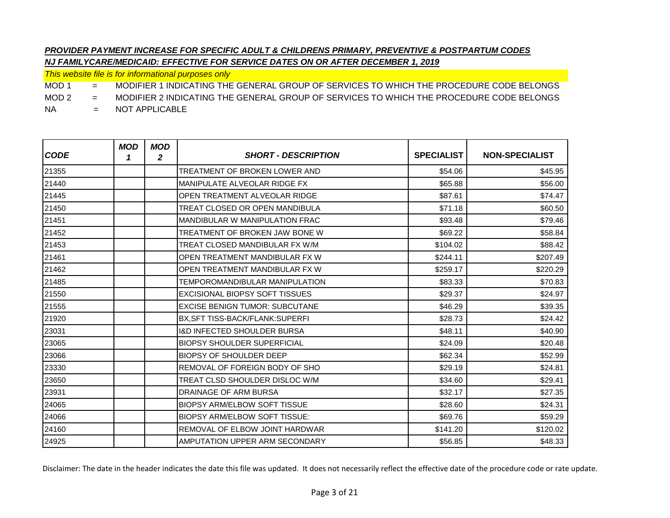*This website file is for informational purposes only*

MOD 1 = MODIFIER 1 INDICATING THE GENERAL GROUP OF SERVICES TO WHICH THE PROCEDURE CODE BELONGS

MOD 2 = MODIFIER 2 INDICATING THE GENERAL GROUP OF SERVICES TO WHICH THE PROCEDURE CODE BELONGS

NA = NOT APPLICABLE

| <b>CODE</b> | <b>MOD</b><br>1 | <b>MOD</b><br>$\boldsymbol{2}$ | <b>SHORT - DESCRIPTION</b>             | <b>SPECIALIST</b> | <b>NON-SPECIALIST</b> |
|-------------|-----------------|--------------------------------|----------------------------------------|-------------------|-----------------------|
| 21355       |                 |                                | TREATMENT OF BROKEN LOWER AND          | \$54.06           | \$45.95               |
| 21440       |                 |                                | MANIPULATE ALVEOLAR RIDGE FX           | \$65.88           | \$56.00               |
| 21445       |                 |                                | OPEN TREATMENT ALVEOLAR RIDGE          | \$87.61           | \$74.47               |
| 21450       |                 |                                | TREAT CLOSED OR OPEN MANDIBULA         | \$71.18           | \$60.50               |
| 21451       |                 |                                | <b>MANDIBULAR W MANIPULATION FRAC</b>  | \$93.48           | \$79.46               |
| 21452       |                 |                                | TREATMENT OF BROKEN JAW BONE W         | \$69.22           | \$58.84               |
| 21453       |                 |                                | TREAT CLOSED MANDIBULAR FX W/M         | \$104.02          | \$88.42               |
| 21461       |                 |                                | OPEN TREATMENT MANDIBULAR FX W         | \$244.11          | \$207.49              |
| 21462       |                 |                                | OPEN TREATMENT MANDIBULAR FX W         | \$259.17          | \$220.29              |
| 21485       |                 |                                | TEMPOROMANDIBULAR MANIPULATION         | \$83.33           | \$70.83               |
| 21550       |                 |                                | <b>EXCISIONAL BIOPSY SOFT TISSUES</b>  | \$29.37           | \$24.97               |
| 21555       |                 |                                | <b>EXCISE BENIGN TUMOR: SUBCUTANE</b>  | \$46.29           | \$39.35               |
| 21920       |                 |                                | <b>BX.SFT TISS-BACK/FLANK:SUPERFI</b>  | \$28.73           | \$24.42               |
| 23031       |                 |                                | <b>I&amp;D INFECTED SHOULDER BURSA</b> | \$48.11           | \$40.90               |
| 23065       |                 |                                | <b>BIOPSY SHOULDER SUPERFICIAL</b>     | \$24.09           | \$20.48               |
| 23066       |                 |                                | <b>BIOPSY OF SHOULDER DEEP</b>         | \$62.34           | \$52.99               |
| 23330       |                 |                                | REMOVAL OF FOREIGN BODY OF SHO         | \$29.19           | \$24.81               |
| 23650       |                 |                                | TREAT CLSD SHOULDER DISLOC W/M         | \$34.60           | \$29.41               |
| 23931       |                 |                                | <b>DRAINAGE OF ARM BURSA</b>           | \$32.17           | \$27.35               |
| 24065       |                 |                                | <b>BIOPSY ARM/ELBOW SOFT TISSUE</b>    | \$28.60           | \$24.31               |
| 24066       |                 |                                | <b>BIOPSY ARM/ELBOW SOFT TISSUE:</b>   | \$69.76           | \$59.29               |
| 24160       |                 |                                | <b>REMOVAL OF ELBOW JOINT HARDWAR</b>  | \$141.20          | \$120.02              |
| 24925       |                 |                                | AMPUTATION UPPER ARM SECONDARY         | \$56.85           | \$48.33               |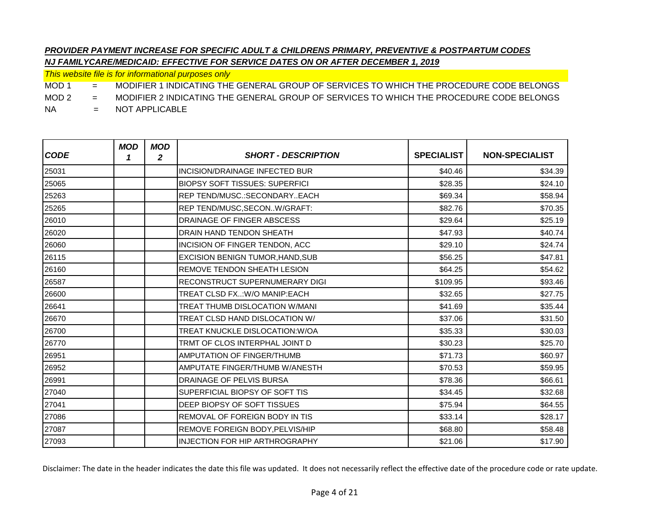*This website file is for informational purposes only*

MOD 1 = MODIFIER 1 INDICATING THE GENERAL GROUP OF SERVICES TO WHICH THE PROCEDURE CODE BELONGS

MOD 2 = MODIFIER 2 INDICATING THE GENERAL GROUP OF SERVICES TO WHICH THE PROCEDURE CODE BELONGS

NA = NOT APPLICABLE

| <b>CODE</b> | <b>MOD</b><br>1 | <b>MOD</b><br>$\boldsymbol{2}$ | <b>SHORT - DESCRIPTION</b>            | <b>SPECIALIST</b> | <b>NON-SPECIALIST</b> |
|-------------|-----------------|--------------------------------|---------------------------------------|-------------------|-----------------------|
| 25031       |                 |                                | <b>INCISION/DRAINAGE INFECTED BUR</b> | \$40.46           | \$34.39               |
| 25065       |                 |                                | <b>BIOPSY SOFT TISSUES: SUPERFICI</b> | \$28.35           | \$24.10               |
| 25263       |                 |                                | REP TEND/MUSC.: SECONDARY EACH        | \$69.34           | \$58.94               |
| 25265       |                 |                                | REP TEND/MUSC, SECONW/GRAFT:          | \$82.76           | \$70.35               |
| 26010       |                 |                                | DRAINAGE OF FINGER ABSCESS            | \$29.64           | \$25.19               |
| 26020       |                 |                                | DRAIN HAND TENDON SHEATH              | \$47.93           | \$40.74               |
| 26060       |                 |                                | INCISION OF FINGER TENDON, ACC        | \$29.10           | \$24.74               |
| 26115       |                 |                                | EXCISION BENIGN TUMOR, HAND, SUB      | \$56.25           | \$47.81               |
| 26160       |                 |                                | REMOVE TENDON SHEATH LESION           | \$64.25           | \$54.62               |
| 26587       |                 |                                | RECONSTRUCT SUPERNUMERARY DIGI        | \$109.95          | \$93.46               |
| 26600       |                 |                                | TREAT CLSD FX:W/O MANIP:EACH          | \$32.65           | \$27.75               |
| 26641       |                 |                                | TREAT THUMB DISLOCATION W/MANI        | \$41.69           | \$35.44               |
| 26670       |                 |                                | TREAT CLSD HAND DISLOCATION W/        | \$37.06           | \$31.50               |
| 26700       |                 |                                | TREAT KNUCKLE DISLOCATION: W/OA       | \$35.33           | \$30.03               |
| 26770       |                 |                                | TRMT OF CLOS INTERPHAL JOINT D        | \$30.23           | \$25.70               |
| 26951       |                 |                                | <b>AMPUTATION OF FINGER/THUMB</b>     | \$71.73           | \$60.97               |
| 26952       |                 |                                | AMPUTATE FINGER/THUMB W/ANESTH        | \$70.53           | \$59.95               |
| 26991       |                 |                                | DRAINAGE OF PELVIS BURSA              | \$78.36           | \$66.61               |
| 27040       |                 |                                | SUPERFICIAL BIOPSY OF SOFT TIS        | \$34.45           | \$32.68               |
| 27041       |                 |                                | DEEP BIOPSY OF SOFT TISSUES           | \$75.94           | \$64.55               |
| 27086       |                 |                                | REMOVAL OF FOREIGN BODY IN TIS        | \$33.14           | \$28.17               |
| 27087       |                 |                                | REMOVE FOREIGN BODY, PELVIS/HIP       | \$68.80           | \$58.48               |
| 27093       |                 |                                | <b>INJECTION FOR HIP ARTHROGRAPHY</b> | \$21.06           | \$17.90               |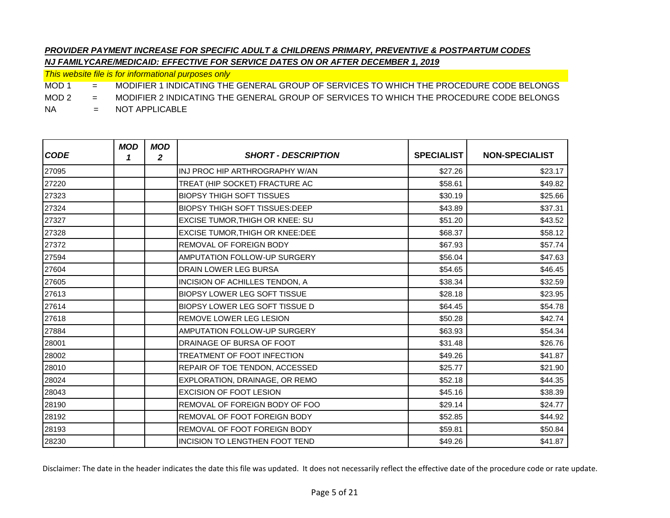*This website file is for informational purposes only*

MOD 1 = MODIFIER 1 INDICATING THE GENERAL GROUP OF SERVICES TO WHICH THE PROCEDURE CODE BELONGS

MOD 2 = MODIFIER 2 INDICATING THE GENERAL GROUP OF SERVICES TO WHICH THE PROCEDURE CODE BELONGS

NA = NOT APPLICABLE

| <b>CODE</b> | <b>MOD</b><br>1 | <b>MOD</b><br>2 | <b>SHORT - DESCRIPTION</b>             | <b>SPECIALIST</b> | <b>NON-SPECIALIST</b> |
|-------------|-----------------|-----------------|----------------------------------------|-------------------|-----------------------|
| 27095       |                 |                 | INJ PROC HIP ARTHROGRAPHY W/AN         | \$27.26           | \$23.17               |
| 27220       |                 |                 | TREAT (HIP SOCKET) FRACTURE AC         | \$58.61           | \$49.82               |
| 27323       |                 |                 | <b>BIOPSY THIGH SOFT TISSUES</b>       | \$30.19           | \$25.66               |
| 27324       |                 |                 | <b>BIOPSY THIGH SOFT TISSUES: DEEP</b> | \$43.89           | \$37.31               |
| 27327       |                 |                 | <b>EXCISE TUMOR, THIGH OR KNEE: SU</b> | \$51.20           | \$43.52               |
| 27328       |                 |                 | EXCISE TUMOR, THIGH OR KNEE: DEE       | \$68.37           | \$58.12               |
| 27372       |                 |                 | REMOVAL OF FOREIGN BODY                | \$67.93           | \$57.74               |
| 27594       |                 |                 | AMPUTATION FOLLOW-UP SURGERY           | \$56.04           | \$47.63               |
| 27604       |                 |                 | DRAIN LOWER LEG BURSA                  | \$54.65           | \$46.45               |
| 27605       |                 |                 | INCISION OF ACHILLES TENDON, A         | \$38.34           | \$32.59               |
| 27613       |                 |                 | <b>BIOPSY LOWER LEG SOFT TISSUE</b>    | \$28.18           | \$23.95               |
| 27614       |                 |                 | <b>BIOPSY LOWER LEG SOFT TISSUE D</b>  | \$64.45           | \$54.78               |
| 27618       |                 |                 | <b>REMOVE LOWER LEG LESION</b>         | \$50.28           | \$42.74               |
| 27884       |                 |                 | <b>AMPUTATION FOLLOW-UP SURGERY</b>    | \$63.93           | \$54.34               |
| 28001       |                 |                 | DRAINAGE OF BURSA OF FOOT              | \$31.48           | \$26.76               |
| 28002       |                 |                 | TREATMENT OF FOOT INFECTION            | \$49.26           | \$41.87               |
| 28010       |                 |                 | REPAIR OF TOE TENDON, ACCESSED         | \$25.77           | \$21.90               |
| 28024       |                 |                 | EXPLORATION, DRAINAGE, OR REMO         | \$52.18           | \$44.35               |
| 28043       |                 |                 | <b>EXCISION OF FOOT LESION</b>         | \$45.16           | \$38.39               |
| 28190       |                 |                 | REMOVAL OF FOREIGN BODY OF FOO         | \$29.14           | \$24.77               |
| 28192       |                 |                 | REMOVAL OF FOOT FOREIGN BODY           | \$52.85           | \$44.92               |
| 28193       |                 |                 | REMOVAL OF FOOT FOREIGN BODY           | \$59.81           | \$50.84               |
| 28230       |                 |                 | INCISION TO LENGTHEN FOOT TEND         | \$49.26           | \$41.87               |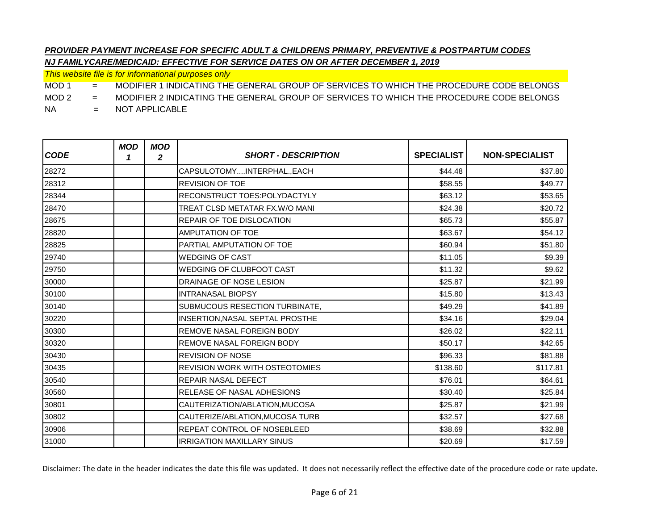*This website file is for informational purposes only*

MOD 1 = MODIFIER 1 INDICATING THE GENERAL GROUP OF SERVICES TO WHICH THE PROCEDURE CODE BELONGS

MOD 2 = MODIFIER 2 INDICATING THE GENERAL GROUP OF SERVICES TO WHICH THE PROCEDURE CODE BELONGS

NA = NOT APPLICABLE

| <b>CODE</b> | <b>MOD</b><br>1 | <b>MOD</b><br>2 | <b>SHORT - DESCRIPTION</b>            | <b>SPECIALIST</b> | <b>NON-SPECIALIST</b> |
|-------------|-----------------|-----------------|---------------------------------------|-------------------|-----------------------|
| 28272       |                 |                 | CAPSULOTOMYINTERPHAL., EACH           | \$44.48           | \$37.80               |
| 28312       |                 |                 | <b>REVISION OF TOE</b>                | \$58.55           | \$49.77               |
| 28344       |                 |                 | <b>RECONSTRUCT TOES:POLYDACTYLY</b>   | \$63.12           | \$53.65               |
| 28470       |                 |                 | TREAT CLSD METATAR FX.W/O MANI        | \$24.38           | \$20.72               |
| 28675       |                 |                 | REPAIR OF TOE DISLOCATION             | \$65.73           | \$55.87               |
| 28820       |                 |                 | <b>AMPUTATION OF TOE</b>              | \$63.67           | \$54.12               |
| 28825       |                 |                 | PARTIAL AMPUTATION OF TOE             | \$60.94           | \$51.80               |
| 29740       |                 |                 | <b>WEDGING OF CAST</b>                | \$11.05           | \$9.39                |
| 29750       |                 |                 | <b>WEDGING OF CLUBFOOT CAST</b>       | \$11.32           | \$9.62                |
| 30000       |                 |                 | DRAINAGE OF NOSE LESION               | \$25.87           | \$21.99               |
| 30100       |                 |                 | <b>INTRANASAL BIOPSY</b>              | \$15.80           | \$13.43               |
| 30140       |                 |                 | SUBMUCOUS RESECTION TURBINATE,        | \$49.29           | \$41.89               |
| 30220       |                 |                 | INSERTION, NASAL SEPTAL PROSTHE       | \$34.16           | \$29.04               |
| 30300       |                 |                 | <b>REMOVE NASAL FOREIGN BODY</b>      | \$26.02           | \$22.11               |
| 30320       |                 |                 | REMOVE NASAL FOREIGN BODY             | \$50.17           | \$42.65               |
| 30430       |                 |                 | <b>REVISION OF NOSE</b>               | \$96.33           | \$81.88               |
| 30435       |                 |                 | <b>REVISION WORK WITH OSTEOTOMIES</b> | \$138.60          | \$117.81              |
| 30540       |                 |                 | <b>REPAIR NASAL DEFECT</b>            | \$76.01           | \$64.61               |
| 30560       |                 |                 | <b>RELEASE OF NASAL ADHESIONS</b>     | \$30.40           | \$25.84               |
| 30801       |                 |                 | CAUTERIZATION/ABLATION, MUCOSA        | \$25.87           | \$21.99               |
| 30802       |                 |                 | CAUTERIZE/ABLATION, MUCOSA TURB       | \$32.57           | \$27.68               |
| 30906       |                 |                 | REPEAT CONTROL OF NOSEBLEED           | \$38.69           | \$32.88               |
| 31000       |                 |                 | <b>IRRIGATION MAXILLARY SINUS</b>     | \$20.69           | \$17.59               |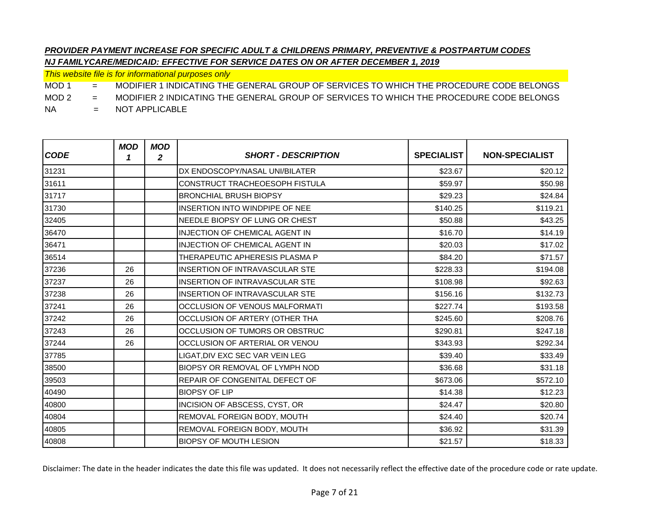*This website file is for informational purposes only*

MOD 1 = MODIFIER 1 INDICATING THE GENERAL GROUP OF SERVICES TO WHICH THE PROCEDURE CODE BELONGS

MOD 2 = MODIFIER 2 INDICATING THE GENERAL GROUP OF SERVICES TO WHICH THE PROCEDURE CODE BELONGS

NA = NOT APPLICABLE

| <b>CODE</b> | <b>MOD</b><br>1 | <b>MOD</b><br>2 | <b>SHORT - DESCRIPTION</b>            | <b>SPECIALIST</b> | <b>NON-SPECIALIST</b> |
|-------------|-----------------|-----------------|---------------------------------------|-------------------|-----------------------|
| 31231       |                 |                 | DX ENDOSCOPY/NASAL UNI/BILATER        | \$23.67           | \$20.12               |
| 31611       |                 |                 | <b>CONSTRUCT TRACHEOESOPH FISTULA</b> | \$59.97           | \$50.98               |
| 31717       |                 |                 | <b>BRONCHIAL BRUSH BIOPSY</b>         | \$29.23           | \$24.84               |
| 31730       |                 |                 | INSERTION INTO WINDPIPE OF NEE        | \$140.25          | \$119.21              |
| 32405       |                 |                 | NEEDLE BIOPSY OF LUNG OR CHEST        | \$50.88           | \$43.25               |
| 36470       |                 |                 | <b>INJECTION OF CHEMICAL AGENT IN</b> | \$16.70           | \$14.19               |
| 36471       |                 |                 | <b>INJECTION OF CHEMICAL AGENT IN</b> | \$20.03           | \$17.02               |
| 36514       |                 |                 | THERAPEUTIC APHERESIS PLASMA P        | \$84.20           | \$71.57               |
| 37236       | 26              |                 | <b>INSERTION OF INTRAVASCULAR STE</b> | \$228.33          | \$194.08              |
| 37237       | 26              |                 | <b>INSERTION OF INTRAVASCULAR STE</b> | \$108.98          | \$92.63               |
| 37238       | 26              |                 | <b>INSERTION OF INTRAVASCULAR STE</b> | \$156.16          | \$132.73              |
| 37241       | 26              |                 | OCCLUSION OF VENOUS MALFORMATI        | \$227.74          | \$193.58              |
| 37242       | 26              |                 | OCCLUSION OF ARTERY (OTHER THA        | \$245.60          | \$208.76              |
| 37243       | 26              |                 | OCCLUSION OF TUMORS OR OBSTRUC        | \$290.81          | \$247.18              |
| 37244       | 26              |                 | OCCLUSION OF ARTERIAL OR VENOU        | \$343.93          | \$292.34              |
| 37785       |                 |                 | LIGAT, DIV EXC SEC VAR VEIN LEG       | \$39.40           | \$33.49               |
| 38500       |                 |                 | BIOPSY OR REMOVAL OF LYMPH NOD        | \$36.68           | \$31.18               |
| 39503       |                 |                 | REPAIR OF CONGENITAL DEFECT OF        | \$673.06          | \$572.10              |
| 40490       |                 |                 | <b>BIOPSY OF LIP</b>                  | \$14.38           | \$12.23               |
| 40800       |                 |                 | INCISION OF ABSCESS, CYST, OR         | \$24.47           | \$20.80               |
| 40804       |                 |                 | REMOVAL FOREIGN BODY, MOUTH           | \$24.40           | \$20.74               |
| 40805       |                 |                 | REMOVAL FOREIGN BODY, MOUTH           | \$36.92           | \$31.39               |
| 40808       |                 |                 | <b>BIOPSY OF MOUTH LESION</b>         | \$21.57           | \$18.33               |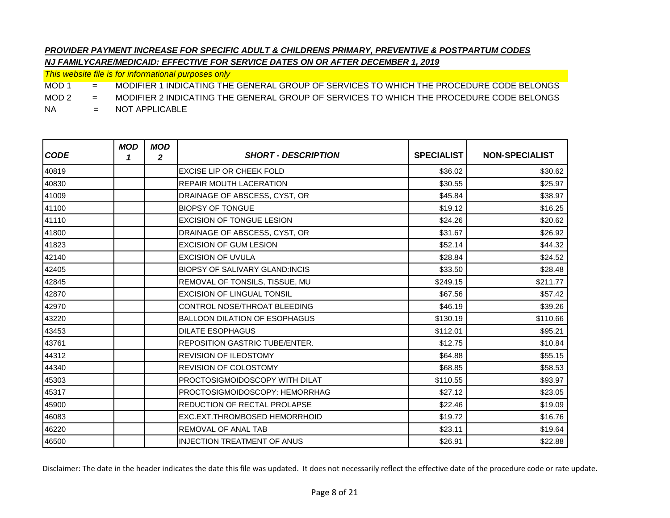*This website file is for informational purposes only*

MOD 1 = MODIFIER 1 INDICATING THE GENERAL GROUP OF SERVICES TO WHICH THE PROCEDURE CODE BELONGS

MOD 2 = MODIFIER 2 INDICATING THE GENERAL GROUP OF SERVICES TO WHICH THE PROCEDURE CODE BELONGS

NA = NOT APPLICABLE

| <b>CODE</b> | <b>MOD</b><br>1 | <b>MOD</b><br>2 | <b>SHORT - DESCRIPTION</b>            | <b>SPECIALIST</b> | <b>NON-SPECIALIST</b> |
|-------------|-----------------|-----------------|---------------------------------------|-------------------|-----------------------|
| 40819       |                 |                 | <b>EXCISE LIP OR CHEEK FOLD</b>       | \$36.02           | \$30.62               |
| 40830       |                 |                 | <b>REPAIR MOUTH LACERATION</b>        | \$30.55           | \$25.97               |
| 41009       |                 |                 | DRAINAGE OF ABSCESS, CYST, OR         | \$45.84           | \$38.97               |
| 41100       |                 |                 | <b>BIOPSY OF TONGUE</b>               | \$19.12           | \$16.25               |
| 41110       |                 |                 | <b>EXCISION OF TONGUE LESION</b>      | \$24.26           | \$20.62               |
| 41800       |                 |                 | DRAINAGE OF ABSCESS, CYST, OR         | \$31.67           | \$26.92               |
| 41823       |                 |                 | <b>EXCISION OF GUM LESION</b>         | \$52.14           | \$44.32               |
| 42140       |                 |                 | <b>EXCISION OF UVULA</b>              | \$28.84           | \$24.52               |
| 42405       |                 |                 | <b>BIOPSY OF SALIVARY GLAND:INCIS</b> | \$33.50           | \$28.48               |
| 42845       |                 |                 | REMOVAL OF TONSILS, TISSUE, MU        | \$249.15          | \$211.77              |
| 42870       |                 |                 | <b>EXCISION OF LINGUAL TONSIL</b>     | \$67.56           | \$57.42               |
| 42970       |                 |                 | CONTROL NOSE/THROAT BLEEDING          | \$46.19           | \$39.26               |
| 43220       |                 |                 | <b>BALLOON DILATION OF ESOPHAGUS</b>  | \$130.19          | \$110.66              |
| 43453       |                 |                 | <b>DILATE ESOPHAGUS</b>               | \$112.01          | \$95.21               |
| 43761       |                 |                 | <b>REPOSITION GASTRIC TUBE/ENTER.</b> | \$12.75           | \$10.84               |
| 44312       |                 |                 | <b>REVISION OF ILEOSTOMY</b>          | \$64.88           | \$55.15               |
| 44340       |                 |                 | <b>REVISION OF COLOSTOMY</b>          | \$68.85           | \$58.53               |
| 45303       |                 |                 | PROCTOSIGMOIDOSCOPY WITH DILAT        | \$110.55          | \$93.97               |
| 45317       |                 |                 | PROCTOSIGMOIDOSCOPY: HEMORRHAG        | \$27.12           | \$23.05               |
| 45900       |                 |                 | REDUCTION OF RECTAL PROLAPSE          | \$22.46           | \$19.09               |
| 46083       |                 |                 | <b>EXC.EXT.THROMBOSED HEMORRHOID</b>  | \$19.72           | \$16.76               |
| 46220       |                 |                 | REMOVAL OF ANAL TAB                   | \$23.11           | \$19.64               |
| 46500       |                 |                 | <b>INJECTION TREATMENT OF ANUS</b>    | \$26.91           | \$22.88               |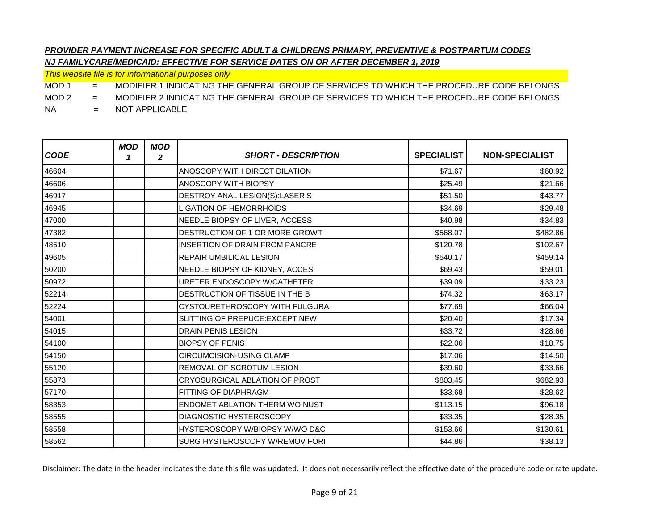*This website file is for informational purposes only*

MOD 1 = MODIFIER 1 INDICATING THE GENERAL GROUP OF SERVICES TO WHICH THE PROCEDURE CODE BELONGS

MOD 2 = MODIFIER 2 INDICATING THE GENERAL GROUP OF SERVICES TO WHICH THE PROCEDURE CODE BELONGS

NA = NOT APPLICABLE

| <b>CODE</b> | <b>MOD</b><br>1 | <b>MOD</b><br>$\mathbf{2}$ | <b>SHORT - DESCRIPTION</b>            | <b>SPECIALIST</b> | <b>NON-SPECIALIST</b> |
|-------------|-----------------|----------------------------|---------------------------------------|-------------------|-----------------------|
| 46604       |                 |                            | ANOSCOPY WITH DIRECT DILATION         | \$71.67           | \$60.92               |
| 46606       |                 |                            | <b>ANOSCOPY WITH BIOPSY</b>           | \$25.49           | \$21.66               |
| 46917       |                 |                            | DESTROY ANAL LESION(S):LASER S        | \$51.50           | \$43.77               |
| 46945       |                 |                            | <b>LIGATION OF HEMORRHOIDS</b>        | \$34.69           | \$29.48               |
| 47000       |                 |                            | NEEDLE BIOPSY OF LIVER, ACCESS        | \$40.98           | \$34.83               |
| 47382       |                 |                            | DESTRUCTION OF 1 OR MORE GROWT        | \$568.07          | \$482.86              |
| 48510       |                 |                            | <b>INSERTION OF DRAIN FROM PANCRE</b> | \$120.78          | \$102.67              |
| 49605       |                 |                            | <b>REPAIR UMBILICAL LESION</b>        | \$540.17          | \$459.14              |
| 50200       |                 |                            | NEEDLE BIOPSY OF KIDNEY, ACCES        | \$69.43           | \$59.01               |
| 50972       |                 |                            | URETER ENDOSCOPY W/CATHETER           | \$39.09           | \$33.23               |
| 52214       |                 |                            | DESTRUCTION OF TISSUE IN THE B        | \$74.32           | \$63.17               |
| 52224       |                 |                            | CYSTOURETHROSCOPY WITH FULGURA        | \$77.69           | \$66.04               |
| 54001       |                 |                            | SLITTING OF PREPUCE: EXCEPT NEW       | \$20.40           | \$17.34               |
| 54015       |                 |                            | <b>DRAIN PENIS LESION</b>             | \$33.72           | \$28.66               |
| 54100       |                 |                            | <b>BIOPSY OF PENIS</b>                | \$22.06           | \$18.75               |
| 54150       |                 |                            | <b>CIRCUMCISION-USING CLAMP</b>       | \$17.06           | \$14.50               |
| 55120       |                 |                            | REMOVAL OF SCROTUM LESION             | \$39.60           | \$33.66               |
| 55873       |                 |                            | CRYOSURGICAL ABLATION OF PROST        | \$803.45          | \$682.93              |
| 57170       |                 |                            | FITTING OF DIAPHRAGM                  | \$33.68           | \$28.62               |
| 58353       |                 |                            | <b>ENDOMET ABLATION THERM WO NUST</b> | \$113.15          | \$96.18               |
| 58555       |                 |                            | <b>DIAGNOSTIC HYSTEROSCOPY</b>        | \$33.35           | \$28.35               |
| 58558       |                 |                            | HYSTEROSCOPY W/BIOPSY W/WO D&C        | \$153.66          | \$130.61              |
| 58562       |                 |                            | SURG HYSTEROSCOPY W/REMOV FORI        | \$44.86           | \$38.13               |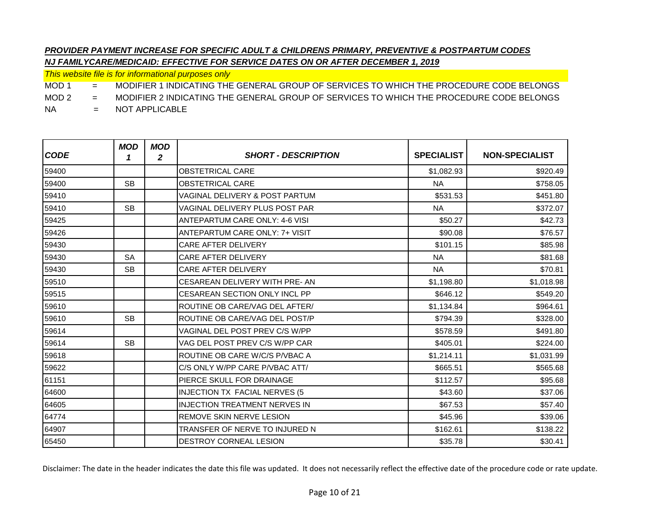*This website file is for informational purposes only*

MOD 1 = MODIFIER 1 INDICATING THE GENERAL GROUP OF SERVICES TO WHICH THE PROCEDURE CODE BELONGS

MOD 2 = MODIFIER 2 INDICATING THE GENERAL GROUP OF SERVICES TO WHICH THE PROCEDURE CODE BELONGS

NA = NOT APPLICABLE

| <b>CODE</b> | <b>MOD</b><br>1 | <b>MOD</b><br>$\mathbf{2}$ | <b>SHORT - DESCRIPTION</b>                | <b>SPECIALIST</b> | <b>NON-SPECIALIST</b> |
|-------------|-----------------|----------------------------|-------------------------------------------|-------------------|-----------------------|
| 59400       |                 |                            | <b>OBSTETRICAL CARE</b>                   | \$1,082.93        | \$920.49              |
| 59400       | <b>SB</b>       |                            | <b>OBSTETRICAL CARE</b>                   | <b>NA</b>         | \$758.05              |
| 59410       |                 |                            | <b>VAGINAL DELIVERY &amp; POST PARTUM</b> | \$531.53          | \$451.80              |
| 59410       | <b>SB</b>       |                            | VAGINAL DELIVERY PLUS POST PAR            | <b>NA</b>         | \$372.07              |
| 59425       |                 |                            | <b>ANTEPARTUM CARE ONLY: 4-6 VISI</b>     | \$50.27           | \$42.73               |
| 59426       |                 |                            | <b>ANTEPARTUM CARE ONLY: 7+ VISIT</b>     | \$90.08           | \$76.57               |
| 59430       |                 |                            | <b>CARE AFTER DELIVERY</b>                | \$101.15          | \$85.98               |
| 59430       | <b>SA</b>       |                            | <b>CARE AFTER DELIVERY</b>                | <b>NA</b>         | \$81.68               |
| 59430       | <b>SB</b>       |                            | <b>CARE AFTER DELIVERY</b>                | <b>NA</b>         | \$70.81               |
| 59510       |                 |                            | CESAREAN DELIVERY WITH PRE-AN             | \$1,198.80        | \$1,018.98            |
| 59515       |                 |                            | <b>CESAREAN SECTION ONLY INCL PP</b>      | \$646.12          | \$549.20              |
| 59610       |                 |                            | ROUTINE OB CARE/VAG DEL AFTER/            | \$1,134.84        | \$964.61              |
| 59610       | <b>SB</b>       |                            | ROUTINE OB CARE/VAG DEL POST/P            | \$794.39          | \$328.00              |
| 59614       |                 |                            | VAGINAL DEL POST PREV C/S W/PP            | \$578.59          | \$491.80              |
| 59614       | <b>SB</b>       |                            | VAG DEL POST PREV C/S W/PP CAR            | \$405.01          | \$224.00              |
| 59618       |                 |                            | ROUTINE OB CARE W/C/S P/VBAC A            | \$1,214.11        | \$1,031.99            |
| 59622       |                 |                            | C/S ONLY W/PP CARE P/VBAC ATT/            | \$665.51          | \$565.68              |
| 61151       |                 |                            | <b>PIERCE SKULL FOR DRAINAGE</b>          | \$112.57          | \$95.68               |
| 64600       |                 |                            | <b>INJECTION TX FACIAL NERVES (5)</b>     | \$43.60           | \$37.06               |
| 64605       |                 |                            | <b>INJECTION TREATMENT NERVES IN</b>      | \$67.53           | \$57.40               |
| 64774       |                 |                            | REMOVE SKIN NERVE LESION                  | \$45.96           | \$39.06               |
| 64907       |                 |                            | TRANSFER OF NERVE TO INJURED N            | \$162.61          | \$138.22              |
| 65450       |                 |                            | <b>DESTROY CORNEAL LESION</b>             | \$35.78           | \$30.41               |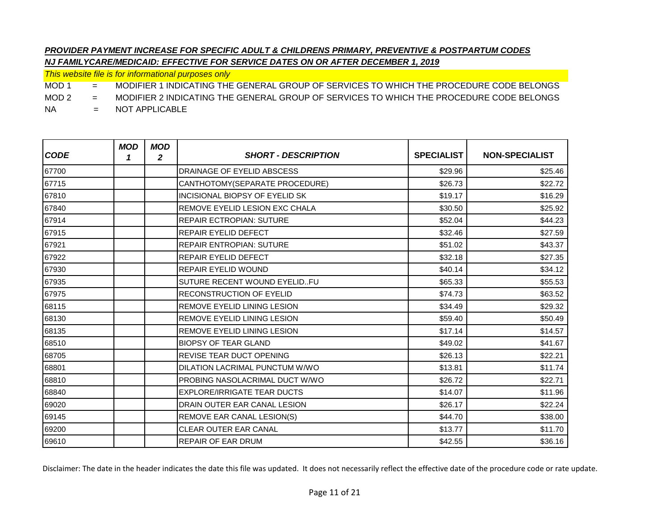*This website file is for informational purposes only*

MOD 1 = MODIFIER 1 INDICATING THE GENERAL GROUP OF SERVICES TO WHICH THE PROCEDURE CODE BELONGS

MOD 2 = MODIFIER 2 INDICATING THE GENERAL GROUP OF SERVICES TO WHICH THE PROCEDURE CODE BELONGS

NA = NOT APPLICABLE

| <b>CODE</b> | <b>MOD</b><br>1 | <b>MOD</b><br>2 | <b>SHORT - DESCRIPTION</b>            | <b>SPECIALIST</b> | <b>NON-SPECIALIST</b> |
|-------------|-----------------|-----------------|---------------------------------------|-------------------|-----------------------|
| 67700       |                 |                 | DRAINAGE OF EYELID ABSCESS            | \$29.96           | \$25.46               |
| 67715       |                 |                 | CANTHOTOMY(SEPARATE PROCEDURE)        | \$26.73           | \$22.72               |
| 67810       |                 |                 | INCISIONAL BIOPSY OF EYELID SK        | \$19.17           | \$16.29               |
| 67840       |                 |                 | <b>REMOVE EYELID LESION EXC CHALA</b> | \$30.50           | \$25.92               |
| 67914       |                 |                 | <b>REPAIR ECTROPIAN: SUTURE</b>       | \$52.04           | \$44.23               |
| 67915       |                 |                 | REPAIR EYELID DEFECT                  | \$32.46           | \$27.59               |
| 67921       |                 |                 | <b>REPAIR ENTROPIAN: SUTURE</b>       | \$51.02           | \$43.37               |
| 67922       |                 |                 | <b>REPAIR EYELID DEFECT</b>           | \$32.18           | \$27.35               |
| 67930       |                 |                 | <b>REPAIR EYELID WOUND</b>            | \$40.14           | \$34.12               |
| 67935       |                 |                 | SUTURE RECENT WOUND EYELIDFU          | \$65.33           | \$55.53               |
| 67975       |                 |                 | <b>RECONSTRUCTION OF EYELID</b>       | \$74.73           | \$63.52               |
| 68115       |                 |                 | REMOVE EYELID LINING LESION           | \$34.49           | \$29.32               |
| 68130       |                 |                 | REMOVE EYELID LINING LESION           | \$59.40           | \$50.49               |
| 68135       |                 |                 | <b>REMOVE EYELID LINING LESION</b>    | \$17.14           | \$14.57               |
| 68510       |                 |                 | <b>BIOPSY OF TEAR GLAND</b>           | \$49.02           | \$41.67               |
| 68705       |                 |                 | <b>REVISE TEAR DUCT OPENING</b>       | \$26.13           | \$22.21               |
| 68801       |                 |                 | DILATION LACRIMAL PUNCTUM W/WO        | \$13.81           | \$11.74               |
| 68810       |                 |                 | PROBING NASOLACRIMAL DUCT W/WO        | \$26.72           | \$22.71               |
| 68840       |                 |                 | <b>EXPLORE/IRRIGATE TEAR DUCTS</b>    | \$14.07           | \$11.96               |
| 69020       |                 |                 | DRAIN OUTER EAR CANAL LESION          | \$26.17           | \$22.24               |
| 69145       |                 |                 | REMOVE EAR CANAL LESION(S)            | \$44.70           | \$38.00               |
| 69200       |                 |                 | CLEAR OUTER EAR CANAL                 | \$13.77           | \$11.70               |
| 69610       |                 |                 | <b>REPAIR OF EAR DRUM</b>             | \$42.55           | \$36.16               |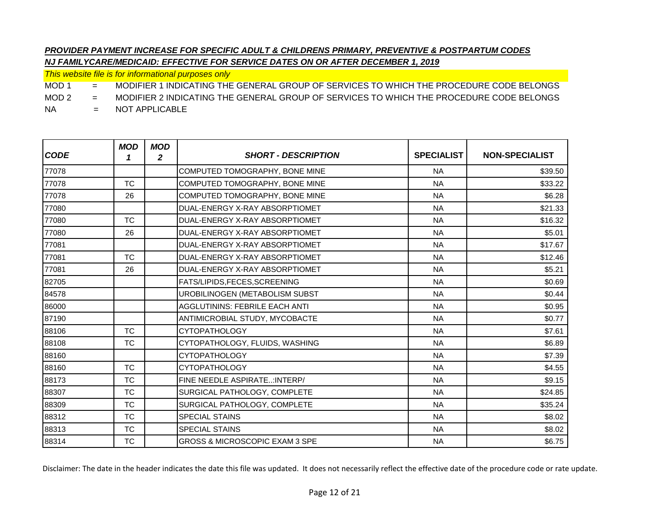*This website file is for informational purposes only*

MOD 1 = MODIFIER 1 INDICATING THE GENERAL GROUP OF SERVICES TO WHICH THE PROCEDURE CODE BELONGS

MOD 2 = MODIFIER 2 INDICATING THE GENERAL GROUP OF SERVICES TO WHICH THE PROCEDURE CODE BELONGS

NA = NOT APPLICABLE

| <b>CODE</b> | <b>MOD</b><br>1 | <b>MOD</b><br>$\mathbf{2}$ | <b>SHORT - DESCRIPTION</b>                | <b>SPECIALIST</b> | <b>NON-SPECIALIST</b> |
|-------------|-----------------|----------------------------|-------------------------------------------|-------------------|-----------------------|
| 77078       |                 |                            | COMPUTED TOMOGRAPHY, BONE MINE            | <b>NA</b>         | \$39.50               |
| 77078       | <b>TC</b>       |                            | COMPUTED TOMOGRAPHY, BONE MINE            | <b>NA</b>         | \$33.22               |
| 77078       | 26              |                            | COMPUTED TOMOGRAPHY, BONE MINE            | <b>NA</b>         | \$6.28                |
| 77080       |                 |                            | DUAL-ENERGY X-RAY ABSORPTIOMET            | <b>NA</b>         | \$21.33               |
| 77080       | <b>TC</b>       |                            | DUAL-ENERGY X-RAY ABSORPTIOMET            | <b>NA</b>         | \$16.32               |
| 77080       | 26              |                            | DUAL-ENERGY X-RAY ABSORPTIOMET            | <b>NA</b>         | \$5.01                |
| 77081       |                 |                            | DUAL-ENERGY X-RAY ABSORPTIOMET            | <b>NA</b>         | \$17.67               |
| 77081       | <b>TC</b>       |                            | DUAL-ENERGY X-RAY ABSORPTIOMET            | <b>NA</b>         | \$12.46               |
| 77081       | 26              |                            | DUAL-ENERGY X-RAY ABSORPTIOMET            | <b>NA</b>         | \$5.21                |
| 82705       |                 |                            | FATS/LIPIDS, FECES, SCREENING             | <b>NA</b>         | \$0.69                |
| 84578       |                 |                            | UROBILINOGEN (METABOLISM SUBST            | <b>NA</b>         | \$0.44                |
| 86000       |                 |                            | AGGLUTININS: FEBRILE EACH ANTI            | <b>NA</b>         | \$0.95                |
| 87190       |                 |                            | ANTIMICROBIAL STUDY, MYCOBACTE            | <b>NA</b>         | \$0.77                |
| 88106       | <b>TC</b>       |                            | <b>CYTOPATHOLOGY</b>                      | <b>NA</b>         | \$7.61                |
| 88108       | <b>TC</b>       |                            | CYTOPATHOLOGY, FLUIDS, WASHING            | <b>NA</b>         | \$6.89                |
| 88160       |                 |                            | <b>CYTOPATHOLOGY</b>                      | <b>NA</b>         | \$7.39                |
| 88160       | <b>TC</b>       |                            | <b>CYTOPATHOLOGY</b>                      | <b>NA</b>         | \$4.55                |
| 88173       | <b>TC</b>       |                            | FINE NEEDLE ASPIRATE: INTERP/             | <b>NA</b>         | \$9.15                |
| 88307       | <b>TC</b>       |                            | SURGICAL PATHOLOGY, COMPLETE              | <b>NA</b>         | \$24.85               |
| 88309       | <b>TC</b>       |                            | SURGICAL PATHOLOGY, COMPLETE              | <b>NA</b>         | \$35.24               |
| 88312       | <b>TC</b>       |                            | <b>SPECIAL STAINS</b>                     | <b>NA</b>         | \$8.02                |
| 88313       | <b>TC</b>       |                            | <b>SPECIAL STAINS</b>                     | <b>NA</b>         | \$8.02                |
| 88314       | <b>TC</b>       |                            | <b>GROSS &amp; MICROSCOPIC EXAM 3 SPE</b> | <b>NA</b>         | \$6.75                |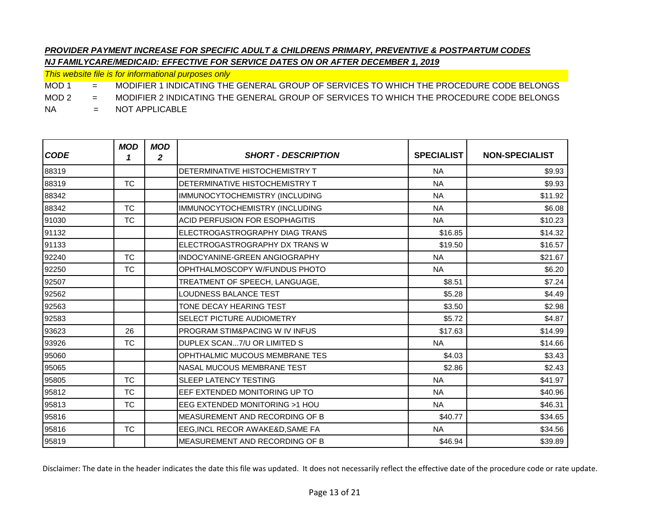*This website file is for informational purposes only*

MOD 1 = MODIFIER 1 INDICATING THE GENERAL GROUP OF SERVICES TO WHICH THE PROCEDURE CODE BELONGS

MOD 2 = MODIFIER 2 INDICATING THE GENERAL GROUP OF SERVICES TO WHICH THE PROCEDURE CODE BELONGS

NA = NOT APPLICABLE

| <b>CODE</b> | <b>MOD</b><br>1 | <b>MOD</b><br>2 | <b>SHORT - DESCRIPTION</b>                | <b>SPECIALIST</b> | <b>NON-SPECIALIST</b> |
|-------------|-----------------|-----------------|-------------------------------------------|-------------------|-----------------------|
| 88319       |                 |                 | DETERMINATIVE HISTOCHEMISTRY T            | <b>NA</b>         | \$9.93                |
| 88319       | <b>TC</b>       |                 | DETERMINATIVE HISTOCHEMISTRY T            | <b>NA</b>         | \$9.93                |
| 88342       |                 |                 | IMMUNOCYTOCHEMISTRY (INCLUDING            | <b>NA</b>         | \$11.92               |
| 88342       | <b>TC</b>       |                 | IMMUNOCYTOCHEMISTRY (INCLUDING            | <b>NA</b>         | \$6.08                |
| 91030       | <b>TC</b>       |                 | <b>ACID PERFUSION FOR ESOPHAGITIS</b>     | <b>NA</b>         | \$10.23               |
| 91132       |                 |                 | ELECTROGASTROGRAPHY DIAG TRANS            | \$16.85           | \$14.32               |
| 91133       |                 |                 | ELECTROGASTROGRAPHY DX TRANS W            | \$19.50           | \$16.57               |
| 92240       | <b>TC</b>       |                 | INDOCYANINE-GREEN ANGIOGRAPHY             | <b>NA</b>         | \$21.67               |
| 92250       | <b>TC</b>       |                 | OPHTHALMOSCOPY W/FUNDUS PHOTO             | <b>NA</b>         | \$6.20                |
| 92507       |                 |                 | TREATMENT OF SPEECH, LANGUAGE,            | \$8.51            | \$7.24                |
| 92562       |                 |                 | LOUDNESS BALANCE TEST                     | \$5.28            | \$4.49                |
| 92563       |                 |                 | TONE DECAY HEARING TEST                   | \$3.50            | \$2.98                |
| 92583       |                 |                 | SELECT PICTURE AUDIOMETRY                 | \$5.72            | \$4.87                |
| 93623       | 26              |                 | <b>PROGRAM STIM&amp;PACING W IV INFUS</b> | \$17.63           | \$14.99               |
| 93926       | <b>TC</b>       |                 | DUPLEX SCAN7/U OR LIMITED S               | <b>NA</b>         | \$14.66               |
| 95060       |                 |                 | OPHTHALMIC MUCOUS MEMBRANE TES            | \$4.03            | \$3.43                |
| 95065       |                 |                 | <b>NASAL MUCOUS MEMBRANE TEST</b>         | \$2.86            | \$2.43                |
| 95805       | <b>TC</b>       |                 | <b>SLEEP LATENCY TESTING</b>              | <b>NA</b>         | \$41.97               |
| 95812       | <b>TC</b>       |                 | EEF EXTENDED MONITORING UP TO             | <b>NA</b>         | \$40.96               |
| 95813       | <b>TC</b>       |                 | EEG EXTENDED MONITORING >1 HOU            | <b>NA</b>         | \$46.31               |
| 95816       |                 |                 | MEASUREMENT AND RECORDING OF B            | \$40.77           | \$34.65               |
| 95816       | <b>TC</b>       |                 | EEG, INCL RECOR AWAKE&D, SAME FA          | <b>NA</b>         | \$34.56               |
| 95819       |                 |                 | MEASUREMENT AND RECORDING OF B            | \$46.94           | \$39.89               |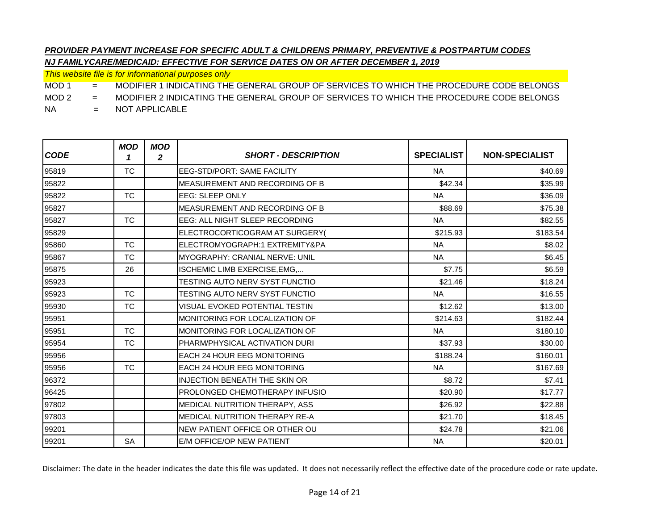*This website file is for informational purposes only*

MOD 1 = MODIFIER 1 INDICATING THE GENERAL GROUP OF SERVICES TO WHICH THE PROCEDURE CODE BELONGS

MOD 2 = MODIFIER 2 INDICATING THE GENERAL GROUP OF SERVICES TO WHICH THE PROCEDURE CODE BELONGS

NA = NOT APPLICABLE

| <b>CODE</b> | <b>MOD</b><br>1 | <b>MOD</b><br>2 | <b>SHORT - DESCRIPTION</b>             | <b>SPECIALIST</b> | <b>NON-SPECIALIST</b> |
|-------------|-----------------|-----------------|----------------------------------------|-------------------|-----------------------|
| 95819       | <b>TC</b>       |                 | <b>EEG-STD/PORT: SAME FACILITY</b>     | <b>NA</b>         | \$40.69               |
| 95822       |                 |                 | MEASUREMENT AND RECORDING OF B         | \$42.34           | \$35.99               |
| 95822       | <b>TC</b>       |                 | <b>EEG: SLEEP ONLY</b>                 | <b>NA</b>         | \$36.09               |
| 95827       |                 |                 | MEASUREMENT AND RECORDING OF B         | \$88.69           | \$75.38               |
| 95827       | <b>TC</b>       |                 | EEG: ALL NIGHT SLEEP RECORDING         | <b>NA</b>         | \$82.55               |
| 95829       |                 |                 | ELECTROCORTICOGRAM AT SURGERY(         | \$215.93          | \$183.54              |
| 95860       | <b>TC</b>       |                 | ELECTROMYOGRAPH:1 EXTREMITY&PA         | <b>NA</b>         | \$8.02                |
| 95867       | <b>TC</b>       |                 | MYOGRAPHY: CRANIAL NERVE: UNIL         | <b>NA</b>         | \$6.45                |
| 95875       | 26              |                 | ISCHEMIC LIMB EXERCISE, EMG,           | \$7.75            | \$6.59                |
| 95923       |                 |                 | <b>TESTING AUTO NERV SYST FUNCTIO</b>  | \$21.46           | \$18.24               |
| 95923       | <b>TC</b>       |                 | TESTING AUTO NERV SYST FUNCTIO         | <b>NA</b>         | \$16.55               |
| 95930       | <b>TC</b>       |                 | VISUAL EVOKED POTENTIAL TESTIN         | \$12.62           | \$13.00               |
| 95951       |                 |                 | MONITORING FOR LOCALIZATION OF         | \$214.63          | \$182.44              |
| 95951       | <b>TC</b>       |                 | MONITORING FOR LOCALIZATION OF         | <b>NA</b>         | \$180.10              |
| 95954       | <b>TC</b>       |                 | PHARM/PHYSICAL ACTIVATION DURI         | \$37.93           | \$30.00               |
| 95956       |                 |                 | <b>EACH 24 HOUR EEG MONITORING</b>     | \$188.24          | \$160.01              |
| 95956       | <b>TC</b>       |                 | <b>EACH 24 HOUR EEG MONITORING</b>     | <b>NA</b>         | \$167.69              |
| 96372       |                 |                 | <b>INJECTION BENEATH THE SKIN OR</b>   | \$8.72            | \$7.41                |
| 96425       |                 |                 | <b>PROLONGED CHEMOTHERAPY INFUSIO</b>  | \$20.90           | \$17.77               |
| 97802       |                 |                 | MEDICAL NUTRITION THERAPY, ASS         | \$26.92           | \$22.88               |
| 97803       |                 |                 | <b>IMEDICAL NUTRITION THERAPY RE-A</b> | \$21.70           | \$18.45               |
| 99201       |                 |                 | NEW PATIENT OFFICE OR OTHER OU         | \$24.78           | \$21.06               |
| 99201       | <b>SA</b>       |                 | E/M OFFICE/OP NEW PATIENT              | <b>NA</b>         | \$20.01               |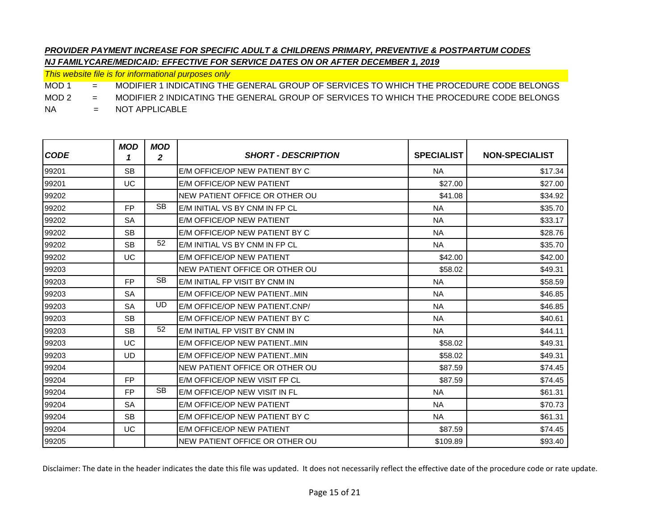*This website file is for informational purposes only*

MOD 1 = MODIFIER 1 INDICATING THE GENERAL GROUP OF SERVICES TO WHICH THE PROCEDURE CODE BELONGS

MOD 2 = MODIFIER 2 INDICATING THE GENERAL GROUP OF SERVICES TO WHICH THE PROCEDURE CODE BELONGS

NA = NOT APPLICABLE

| <b>CODE</b> | <b>MOD</b><br>1 | <b>MOD</b><br>$\mathbf{2}$ | <b>SHORT - DESCRIPTION</b>     | <b>SPECIALIST</b> | <b>NON-SPECIALIST</b> |
|-------------|-----------------|----------------------------|--------------------------------|-------------------|-----------------------|
| 99201       | <b>SB</b>       |                            | E/M OFFICE/OP NEW PATIENT BY C | <b>NA</b>         | \$17.34               |
| 99201       | UC              |                            | E/M OFFICE/OP NEW PATIENT      | \$27.00           | \$27.00               |
| 99202       |                 |                            | NEW PATIENT OFFICE OR OTHER OU | \$41.08           | \$34.92               |
| 99202       | FP.             | <b>SB</b>                  | E/M INITIAL VS BY CNM IN FP CL | <b>NA</b>         | \$35.70               |
| 99202       | <b>SA</b>       |                            | E/M OFFICE/OP NEW PATIENT      | <b>NA</b>         | \$33.17               |
| 99202       | <b>SB</b>       |                            | E/M OFFICE/OP NEW PATIENT BY C | <b>NA</b>         | \$28.76               |
| 99202       | <b>SB</b>       | 52                         | E/M INITIAL VS BY CNM IN FP CL | <b>NA</b>         | \$35.70               |
| 99202       | UC              |                            | E/M OFFICE/OP NEW PATIENT      | \$42.00           | \$42.00               |
| 99203       |                 |                            | NEW PATIENT OFFICE OR OTHER OU | \$58.02           | \$49.31               |
| 99203       | FP.             | <b>SB</b>                  | E/M INITIAL FP VISIT BY CNM IN | <b>NA</b>         | \$58.59               |
| 99203       | <b>SA</b>       |                            | E/M OFFICE/OP NEW PATIENTMIN   | <b>NA</b>         | \$46.85               |
| 99203       | <b>SA</b>       | <b>UD</b>                  | E/M OFFICE/OP NEW PATIENT.CNP/ | <b>NA</b>         | \$46.85               |
| 99203       | <b>SB</b>       |                            | E/M OFFICE/OP NEW PATIENT BY C | <b>NA</b>         | \$40.61               |
| 99203       | <b>SB</b>       | 52                         | E/M INITIAL FP VISIT BY CNM IN | <b>NA</b>         | \$44.11               |
| 99203       | UC              |                            | E/M OFFICE/OP NEW PATIENTMIN   | \$58.02           | \$49.31               |
| 99203       | <b>UD</b>       |                            | E/M OFFICE/OP NEW PATIENTMIN   | \$58.02           | \$49.31               |
| 99204       |                 |                            | NEW PATIENT OFFICE OR OTHER OU | \$87.59           | \$74.45               |
| 99204       | FP.             |                            | E/M OFFICE/OP NEW VISIT FP CL  | \$87.59           | \$74.45               |
| 99204       | FP.             | <b>SB</b>                  | E/M OFFICE/OP NEW VISIT IN FL  | <b>NA</b>         | \$61.31               |
| 99204       | <b>SA</b>       |                            | E/M OFFICE/OP NEW PATIENT      | <b>NA</b>         | \$70.73               |
| 99204       | <b>SB</b>       |                            | E/M OFFICE/OP NEW PATIENT BY C | <b>NA</b>         | \$61.31               |
| 99204       | UC              |                            | E/M OFFICE/OP NEW PATIENT      | \$87.59           | \$74.45               |
| 99205       |                 |                            | NEW PATIENT OFFICE OR OTHER OU | \$109.89          | \$93.40               |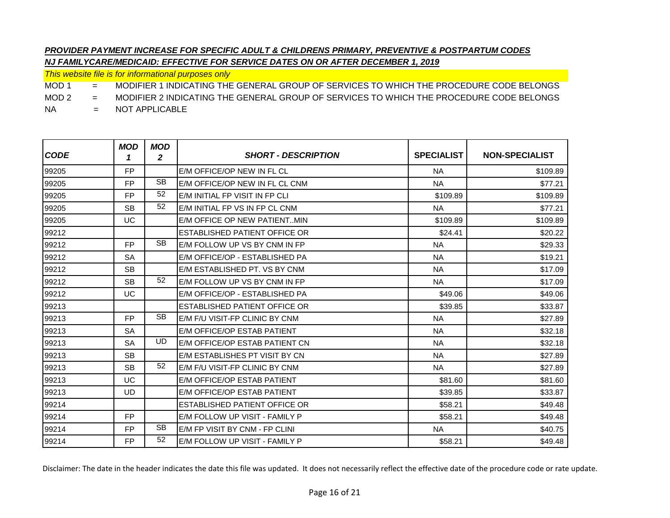*This website file is for informational purposes only*

MOD 1 = MODIFIER 1 INDICATING THE GENERAL GROUP OF SERVICES TO WHICH THE PROCEDURE CODE BELONGS

MOD 2 = MODIFIER 2 INDICATING THE GENERAL GROUP OF SERVICES TO WHICH THE PROCEDURE CODE BELONGS

NA = NOT APPLICABLE

| <b>CODE</b> | <b>MOD</b><br>1 | MOD<br>$\mathbf{2}$ | <b>SHORT - DESCRIPTION</b>     | <b>SPECIALIST</b> | <b>NON-SPECIALIST</b> |
|-------------|-----------------|---------------------|--------------------------------|-------------------|-----------------------|
| 99205       | <b>FP</b>       |                     | E/M OFFICE/OP NEW IN FL CL     | <b>NA</b>         | \$109.89              |
| 99205       | <b>FP</b>       | <b>SB</b>           | F/M OFFICE/OP NEW IN FL CL CNM | <b>NA</b>         | \$77.21               |
| 99205       | <b>FP</b>       | 52                  | E/M INITIAL FP VISIT IN FP CLI | \$109.89          | \$109.89              |
| 99205       | <b>SB</b>       | 52                  | E/M INITIAL FP VS IN FP CL CNM | <b>NA</b>         | \$77.21               |
| 99205       | UC              |                     | E/M OFFICE OP NEW PATIENTMIN   | \$109.89          | \$109.89              |
| 99212       |                 |                     | ESTABLISHED PATIENT OFFICE OR  | \$24.41           | \$20.22               |
| 99212       | <b>FP</b>       | <b>SB</b>           | E/M FOLLOW UP VS BY CNM IN FP  | <b>NA</b>         | \$29.33               |
| 99212       | <b>SA</b>       |                     | E/M OFFICE/OP - ESTABLISHED PA | <b>NA</b>         | \$19.21               |
| 99212       | <b>SB</b>       |                     | E/M ESTABLISHED PT. VS BY CNM  | <b>NA</b>         | \$17.09               |
| 99212       | <b>SB</b>       | 52                  | E/M FOLLOW UP VS BY CNM IN FP  | <b>NA</b>         | \$17.09               |
| 99212       | UC              |                     | E/M OFFICE/OP - ESTABLISHED PA | \$49.06           | \$49.06               |
| 99213       |                 |                     | ESTABLISHED PATIENT OFFICE OR  | \$39.85           | \$33.87               |
| 99213       | <b>FP</b>       | <b>SB</b>           | E/M F/U VISIT-FP CLINIC BY CNM | <b>NA</b>         | \$27.89               |
| 99213       | <b>SA</b>       |                     | E/M OFFICE/OP ESTAB PATIENT    | <b>NA</b>         | \$32.18               |
| 99213       | <b>SA</b>       | UD                  | E/M OFFICE/OP ESTAB PATIENT CN | <b>NA</b>         | \$32.18               |
| 99213       | <b>SB</b>       |                     | E/M ESTABLISHES PT VISIT BY CN | <b>NA</b>         | \$27.89               |
| 99213       | <b>SB</b>       | 52                  | E/M F/U VISIT-FP CLINIC BY CNM | <b>NA</b>         | \$27.89               |
| 99213       | UC              |                     | E/M OFFICE/OP ESTAB PATIENT    | \$81.60           | \$81.60               |
| 99213       | UD.             |                     | E/M OFFICE/OP ESTAB PATIENT    | \$39.85           | \$33.87               |
| 99214       |                 |                     | ESTABLISHED PATIENT OFFICE OR  | \$58.21           | \$49.48               |
| 99214       | FP.             |                     | E/M FOLLOW UP VISIT - FAMILY P | \$58.21           | \$49.48               |
| 99214       | <b>FP</b>       | <b>SB</b>           | E/M FP VISIT BY CNM - FP CLINI | <b>NA</b>         | \$40.75               |
| 99214       | FP.             | 52                  | E/M FOLLOW UP VISIT - FAMILY P | \$58.21           | \$49.48               |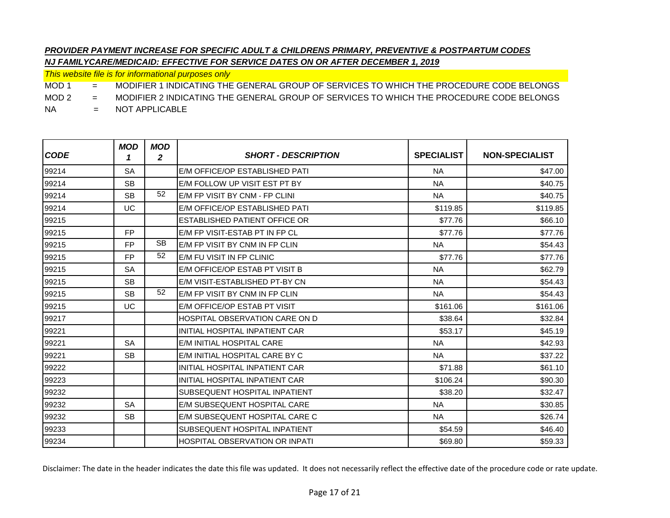*This website file is for informational purposes only*

MOD 1 = MODIFIER 1 INDICATING THE GENERAL GROUP OF SERVICES TO WHICH THE PROCEDURE CODE BELONGS

MOD 2 = MODIFIER 2 INDICATING THE GENERAL GROUP OF SERVICES TO WHICH THE PROCEDURE CODE BELONGS

NA = NOT APPLICABLE

| <b>CODE</b> | <b>MOD</b><br>1 | <b>MOD</b><br>2 | <b>SHORT - DESCRIPTION</b>            | <b>SPECIALIST</b> | <b>NON-SPECIALIST</b> |
|-------------|-----------------|-----------------|---------------------------------------|-------------------|-----------------------|
| 99214       | <b>SA</b>       |                 | E/M OFFICE/OP ESTABLISHED PATI        | <b>NA</b>         | \$47.00               |
| 99214       | <b>SB</b>       |                 | E/M FOLLOW UP VISIT EST PT BY         | <b>NA</b>         | \$40.75               |
| 99214       | <b>SB</b>       | 52              | E/M FP VISIT BY CNM - FP CLINI        | <b>NA</b>         | \$40.75               |
| 99214       | UC              |                 | E/M OFFICE/OP ESTABLISHED PATI        | \$119.85          | \$119.85              |
| 99215       |                 |                 | <b>ESTABLISHED PATIENT OFFICE OR</b>  | \$77.76           | \$66.10               |
| 99215       | FP.             |                 | E/M FP VISIT-ESTAB PT IN FP CL        | \$77.76           | \$77.76               |
| 99215       | FP.             | <b>SB</b>       | E/M FP VISIT BY CNM IN FP CLIN        | <b>NA</b>         | \$54.43               |
| 99215       | FP.             | 52              | E/M FU VISIT IN FP CLINIC             | \$77.76           | \$77.76               |
| 99215       | <b>SA</b>       |                 | E/M OFFICE/OP ESTAB PT VISIT B        | <b>NA</b>         | \$62.79               |
| 99215       | <b>SB</b>       |                 | E/M VISIT-ESTABLISHED PT-BY CN        | <b>NA</b>         | \$54.43               |
| 99215       | <b>SB</b>       | 52              | E/M FP VISIT BY CNM IN FP CLIN        | <b>NA</b>         | \$54.43               |
| 99215       | UC              |                 | E/M OFFICE/OP ESTAB PT VISIT          | \$161.06          | \$161.06              |
| 99217       |                 |                 | <b>HOSPITAL OBSERVATION CARE ON D</b> | \$38.64           | \$32.84               |
| 99221       |                 |                 | INITIAL HOSPITAL INPATIENT CAR        | \$53.17           | \$45.19               |
| 99221       | <b>SA</b>       |                 | E/M INITIAL HOSPITAL CARE             | <b>NA</b>         | \$42.93               |
| 99221       | <b>SB</b>       |                 | E/M INITIAL HOSPITAL CARE BY C        | <b>NA</b>         | \$37.22               |
| 99222       |                 |                 | INITIAL HOSPITAL INPATIENT CAR        | \$71.88           | \$61.10               |
| 99223       |                 |                 | INITIAL HOSPITAL INPATIENT CAR        | \$106.24          | \$90.30               |
| 99232       |                 |                 | <b>SUBSEQUENT HOSPITAL INPATIENT</b>  | \$38.20           | \$32.47               |
| 99232       | <b>SA</b>       |                 | E/M SUBSEQUENT HOSPITAL CARE          | <b>NA</b>         | \$30.85               |
| 99232       | <b>SB</b>       |                 | E/M SUBSEQUENT HOSPITAL CARE C        | <b>NA</b>         | \$26.74               |
| 99233       |                 |                 | SUBSEQUENT HOSPITAL INPATIENT         | \$54.59           | \$46.40               |
| 99234       |                 |                 | <b>HOSPITAL OBSERVATION OR INPATI</b> | \$69.80           | \$59.33               |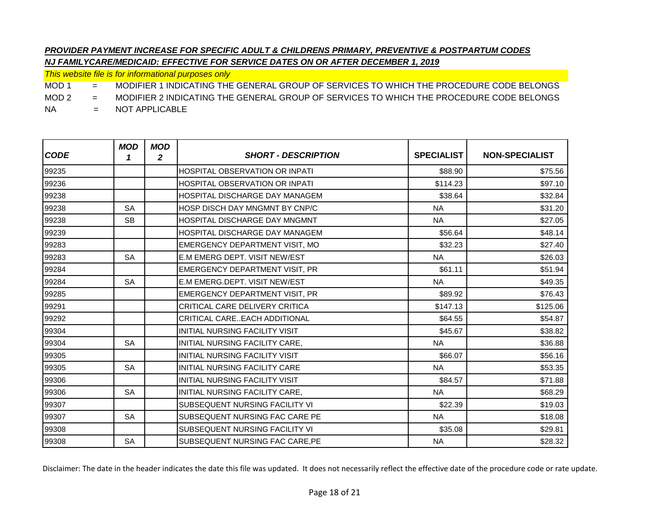*This website file is for informational purposes only*

MOD 1 = MODIFIER 1 INDICATING THE GENERAL GROUP OF SERVICES TO WHICH THE PROCEDURE CODE BELONGS

MOD 2 = MODIFIER 2 INDICATING THE GENERAL GROUP OF SERVICES TO WHICH THE PROCEDURE CODE BELONGS

NA = NOT APPLICABLE

| <b>CODE</b> | <b>MOD</b><br>1 | <b>MOD</b><br>2 | <b>SHORT - DESCRIPTION</b>            | <b>SPECIALIST</b> | <b>NON-SPECIALIST</b> |
|-------------|-----------------|-----------------|---------------------------------------|-------------------|-----------------------|
| 99235       |                 |                 | <b>HOSPITAL OBSERVATION OR INPATI</b> | \$88.90           | \$75.56               |
| 99236       |                 |                 | <b>HOSPITAL OBSERVATION OR INPATI</b> | \$114.23          | \$97.10               |
| 99238       |                 |                 | <b>HOSPITAL DISCHARGE DAY MANAGEM</b> | \$38.64           | \$32.84               |
| 99238       | <b>SA</b>       |                 | HOSP DISCH DAY MNGMNT BY CNP/C        | <b>NA</b>         | \$31.20               |
| 99238       | <b>SB</b>       |                 | HOSPITAL DISCHARGE DAY MNGMNT         | <b>NA</b>         | \$27.05               |
| 99239       |                 |                 | HOSPITAL DISCHARGE DAY MANAGEM        | \$56.64           | \$48.14               |
| 99283       |                 |                 | <b>EMERGENCY DEPARTMENT VISIT, MO</b> | \$32.23           | \$27.40               |
| 99283       | <b>SA</b>       |                 | E.M EMERG DEPT. VISIT NEW/EST         | <b>NA</b>         | \$26.03               |
| 99284       |                 |                 | EMERGENCY DEPARTMENT VISIT, PR        | \$61.11           | \$51.94               |
| 99284       | <b>SA</b>       |                 | E.M EMERG.DEPT. VISIT NEW/EST         | <b>NA</b>         | \$49.35               |
| 99285       |                 |                 | <b>EMERGENCY DEPARTMENT VISIT, PR</b> | \$89.92           | \$76.43               |
| 99291       |                 |                 | <b>CRITICAL CARE DELIVERY CRITICA</b> | \$147.13          | \$125.06              |
| 99292       |                 |                 | CRITICAL CAREEACH ADDITIONAL          | \$64.55           | \$54.87               |
| 99304       |                 |                 | <b>INITIAL NURSING FACILITY VISIT</b> | \$45.67           | \$38.82               |
| 99304       | <b>SA</b>       |                 | INITIAL NURSING FACILITY CARE.        | <b>NA</b>         | \$36.88               |
| 99305       |                 |                 | <b>INITIAL NURSING FACILITY VISIT</b> | \$66.07           | \$56.16               |
| 99305       | <b>SA</b>       |                 | INITIAL NURSING FACILITY CARE         | <b>NA</b>         | \$53.35               |
| 99306       |                 |                 | INITIAL NURSING FACILITY VISIT        | \$84.57           | \$71.88               |
| 99306       | <b>SA</b>       |                 | INITIAL NURSING FACILITY CARE.        | <b>NA</b>         | \$68.29               |
| 99307       |                 |                 | SUBSEQUENT NURSING FACILITY VI        | \$22.39           | \$19.03               |
| 99307       | <b>SA</b>       |                 | SUBSEQUENT NURSING FAC CARE PE        | <b>NA</b>         | \$18.08               |
| 99308       |                 |                 | SUBSEQUENT NURSING FACILITY VI        | \$35.08           | \$29.81               |
| 99308       | <b>SA</b>       |                 | SUBSEQUENT NURSING FAC CARE, PE       | <b>NA</b>         | \$28.32               |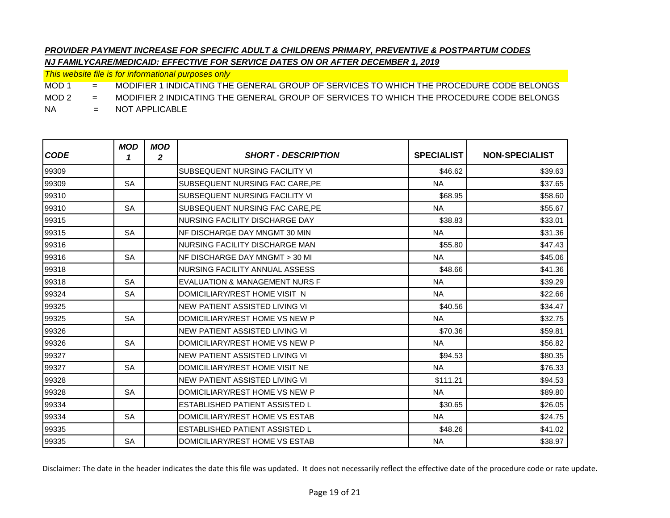*This website file is for informational purposes only*

MOD 1 = MODIFIER 1 INDICATING THE GENERAL GROUP OF SERVICES TO WHICH THE PROCEDURE CODE BELONGS

MOD 2 = MODIFIER 2 INDICATING THE GENERAL GROUP OF SERVICES TO WHICH THE PROCEDURE CODE BELONGS

NA = NOT APPLICABLE

| <b>CODE</b> | <b>MOD</b><br>1 | <b>MOD</b><br>$\mathbf{2}$ | <b>SHORT - DESCRIPTION</b>            | <b>SPECIALIST</b> | <b>NON-SPECIALIST</b> |
|-------------|-----------------|----------------------------|---------------------------------------|-------------------|-----------------------|
| 99309       |                 |                            | SUBSEQUENT NURSING FACILITY VI        | \$46.62           | \$39.63               |
| 99309       | <b>SA</b>       |                            | SUBSEQUENT NURSING FAC CARE, PE       | <b>NA</b>         | \$37.65               |
| 99310       |                 |                            | <b>SUBSEQUENT NURSING FACILITY VI</b> | \$68.95           | \$58.60               |
| 99310       | <b>SA</b>       |                            | SUBSEQUENT NURSING FAC CARE.PE        | <b>NA</b>         | \$55.67               |
| 99315       |                 |                            | NURSING FACILITY DISCHARGE DAY        | \$38.83           | \$33.01               |
| 99315       | <b>SA</b>       |                            | NF DISCHARGE DAY MNGMT 30 MIN         | <b>NA</b>         | \$31.36               |
| 99316       |                 |                            | NURSING FACILITY DISCHARGE MAN        | \$55.80           | \$47.43               |
| 99316       | <b>SA</b>       |                            | NF DISCHARGE DAY MNGMT > 30 MI        | <b>NA</b>         | \$45.06               |
| 99318       |                 |                            | NURSING FACILITY ANNUAL ASSESS        | \$48.66           | \$41.36               |
| 99318       | <b>SA</b>       |                            | EVALUATION & MANAGEMENT NURS F        | <b>NA</b>         | \$39.29               |
| 99324       | <b>SA</b>       |                            | DOMICILIARY/REST HOME VISIT N         | <b>NA</b>         | \$22.66               |
| 99325       |                 |                            | NEW PATIENT ASSISTED LIVING VI        | \$40.56           | \$34.47               |
| 99325       | <b>SA</b>       |                            | DOMICILIARY/REST HOME VS NEW P        | <b>NA</b>         | \$32.75               |
| 99326       |                 |                            | <b>NEW PATIENT ASSISTED LIVING VI</b> | \$70.36           | \$59.81               |
| 99326       | <b>SA</b>       |                            | DOMICILIARY/REST HOME VS NEW P        | <b>NA</b>         | \$56.82               |
| 99327       |                 |                            | <b>NEW PATIENT ASSISTED LIVING VI</b> | \$94.53           | \$80.35               |
| 99327       | <b>SA</b>       |                            | DOMICILIARY/REST HOME VISIT NE        | <b>NA</b>         | \$76.33               |
| 99328       |                 |                            | NEW PATIENT ASSISTED LIVING VI        | \$111.21          | \$94.53               |
| 99328       | <b>SA</b>       |                            | DOMICILIARY/REST HOME VS NEW P        | <b>NA</b>         | \$89.80               |
| 99334       |                 |                            | ESTABLISHED PATIENT ASSISTED L        | \$30.65           | \$26.05               |
| 99334       | <b>SA</b>       |                            | DOMICILIARY/REST HOME VS ESTAB        | <b>NA</b>         | \$24.75               |
| 99335       |                 |                            | ESTABLISHED PATIENT ASSISTED L        | \$48.26           | \$41.02               |
| 99335       | <b>SA</b>       |                            | DOMICILIARY/REST HOME VS ESTAB        | <b>NA</b>         | \$38.97               |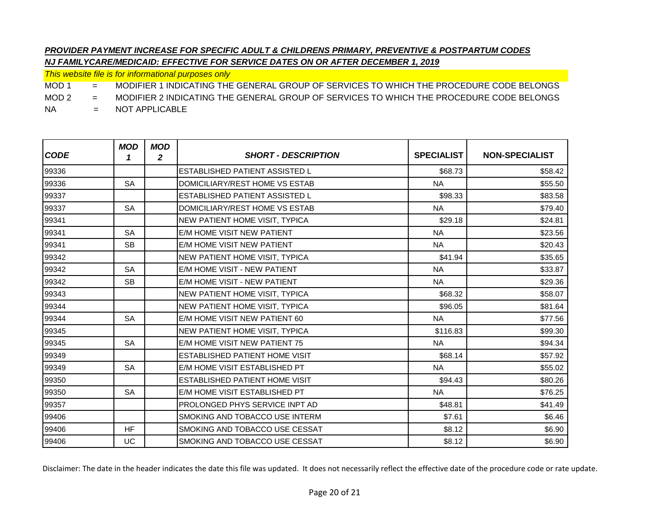*This website file is for informational purposes only*

MOD 1 = MODIFIER 1 INDICATING THE GENERAL GROUP OF SERVICES TO WHICH THE PROCEDURE CODE BELONGS

MOD 2 = MODIFIER 2 INDICATING THE GENERAL GROUP OF SERVICES TO WHICH THE PROCEDURE CODE BELONGS

NA = NOT APPLICABLE

| <b>CODE</b> | <b>MOD</b><br>1 | <b>MOD</b><br>2 | <b>SHORT - DESCRIPTION</b>            | <b>SPECIALIST</b> | <b>NON-SPECIALIST</b> |
|-------------|-----------------|-----------------|---------------------------------------|-------------------|-----------------------|
| 99336       |                 |                 | <b>ESTABLISHED PATIENT ASSISTED L</b> | \$68.73           | \$58.42               |
| 99336       | <b>SA</b>       |                 | DOMICILIARY/REST HOME VS ESTAB        | <b>NA</b>         | \$55.50               |
| 99337       |                 |                 | ESTABLISHED PATIENT ASSISTED L        | \$98.33           | \$83.58               |
| 99337       | <b>SA</b>       |                 | DOMICILIARY/REST HOME VS ESTAB        | <b>NA</b>         | \$79.40               |
| 99341       |                 |                 | NEW PATIENT HOME VISIT, TYPICA        | \$29.18           | \$24.81               |
| 99341       | <b>SA</b>       |                 | E/M HOME VISIT NEW PATIENT            | <b>NA</b>         | \$23.56               |
| 99341       | <b>SB</b>       |                 | E/M HOME VISIT NEW PATIENT            | <b>NA</b>         | \$20.43               |
| 99342       |                 |                 | <b>NEW PATIENT HOME VISIT, TYPICA</b> | \$41.94           | \$35.65               |
| 99342       | <b>SA</b>       |                 | E/M HOME VISIT - NEW PATIENT          | <b>NA</b>         | \$33.87               |
| 99342       | <b>SB</b>       |                 | E/M HOME VISIT - NEW PATIENT          | <b>NA</b>         | \$29.36               |
| 99343       |                 |                 | <b>NEW PATIENT HOME VISIT, TYPICA</b> | \$68.32           | \$58.07               |
| 99344       |                 |                 | NEW PATIENT HOME VISIT, TYPICA        | \$96.05           | \$81.64               |
| 99344       | <b>SA</b>       |                 | E/M HOME VISIT NEW PATIENT 60         | <b>NA</b>         | \$77.56               |
| 99345       |                 |                 | <b>NEW PATIENT HOME VISIT, TYPICA</b> | \$116.83          | \$99.30               |
| 99345       | <b>SA</b>       |                 | E/M HOME VISIT NEW PATIENT 75         | <b>NA</b>         | \$94.34               |
| 99349       |                 |                 | ESTABLISHED PATIENT HOME VISIT        | \$68.14           | \$57.92               |
| 99349       | <b>SA</b>       |                 | E/M HOME VISIT ESTABLISHED PT         | <b>NA</b>         | \$55.02               |
| 99350       |                 |                 | ESTABLISHED PATIENT HOME VISIT        | \$94.43           | \$80.26               |
| 99350       | <b>SA</b>       |                 | E/M HOME VISIT ESTABLISHED PT         | <b>NA</b>         | \$76.25               |
| 99357       |                 |                 | PROLONGED PHYS SERVICE INPT AD        | \$48.81           | \$41.49               |
| 99406       |                 |                 | SMOKING AND TOBACCO USE INTERM        | \$7.61            | \$6.46                |
| 99406       | <b>HF</b>       |                 | SMOKING AND TOBACCO USE CESSAT        | \$8.12            | \$6.90                |
| 99406       | UC              |                 | SMOKING AND TOBACCO USE CESSAT        | \$8.12            | \$6.90                |